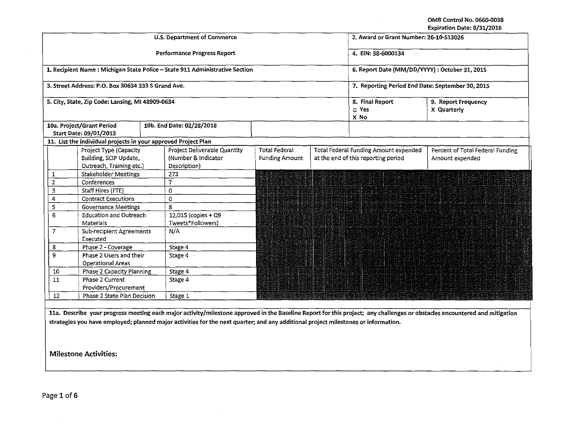OMB Control No. 0660-0038 Expiration Date: 8/31/2016

 $\sim 10^{-1}$ 

|                                   |                                                    | U.S. Department of Commerce                                                  | 2. Award or Grant Number: 26-10-\$13026          |                                     |                                       |                                                                                                                                                                            |
|-----------------------------------|----------------------------------------------------|------------------------------------------------------------------------------|--------------------------------------------------|-------------------------------------|---------------------------------------|----------------------------------------------------------------------------------------------------------------------------------------------------------------------------|
|                                   |                                                    | Performance Progress Report                                                  | 4. EIN: 38-6000134                               |                                     |                                       |                                                                                                                                                                            |
|                                   |                                                    | 1. Recipient Name : Michigan State Police - State 911 Administrative Section | 6. Report Date (MM/DD/YYYY): October 31, 2015    |                                     |                                       |                                                                                                                                                                            |
|                                   | 3. Street Address: P.O. Box 30634 333 S Grand Ave. |                                                                              | 7. Reporting Period End Date: September 30, 2015 |                                     |                                       |                                                                                                                                                                            |
|                                   | 5. City, State, Zip Code: Lansing, M1 48909-0634   |                                                                              | 8. Final Report<br>□ Yes<br>X No                 | 9. Report Frequency<br>X Quarterly  |                                       |                                                                                                                                                                            |
|                                   | 10a. Project/Grant Period                          | 10b. End Date: 02/28/2018                                                    |                                                  |                                     |                                       |                                                                                                                                                                            |
|                                   | Start Date: 09/01/2013                             | 11. List the individual projects in your approved Project Plan               |                                                  |                                     |                                       |                                                                                                                                                                            |
|                                   | Project Type (Capacity                             | Project Deliverable Quantity                                                 | <b>Total Federal</b>                             |                                     | Total Federal Funding Amount expended | Percent of Total Federal Funding                                                                                                                                           |
|                                   | Building, SCIP Update,                             | (Number & Indicator                                                          | <b>Funding Amount</b>                            | at the end of this reporting period |                                       | Amount expended                                                                                                                                                            |
|                                   | Outreach, Training etc.)                           | Description)                                                                 |                                                  |                                     |                                       |                                                                                                                                                                            |
|                                   | <b>Stakeholder Meetings</b>                        | 273                                                                          |                                                  |                                     |                                       |                                                                                                                                                                            |
| $\overline{2}$                    | Conferences                                        | $\overline{7}$                                                               |                                                  |                                     |                                       |                                                                                                                                                                            |
| 3                                 | Staff Hires (FTE)                                  | 0                                                                            |                                                  |                                     |                                       |                                                                                                                                                                            |
| 4                                 | <b>Contract Executions</b>                         | 0                                                                            |                                                  |                                     |                                       |                                                                                                                                                                            |
| 5<br><b>Governance Meetings</b>   |                                                    | 8                                                                            |                                                  |                                     |                                       |                                                                                                                                                                            |
| 6                                 | <b>Education and Outreach</b>                      | 12.015 (copies + Q9                                                          |                                                  |                                     |                                       |                                                                                                                                                                            |
|                                   | <b>Materials</b>                                   | Tweets*Followers)                                                            |                                                  |                                     |                                       |                                                                                                                                                                            |
| $\overline{7}$                    | Sub-recipient Agreements<br>Executed               | N/A                                                                          |                                                  |                                     |                                       |                                                                                                                                                                            |
| 8                                 | Phase 2 - Coverage                                 | Stage 4                                                                      |                                                  |                                     |                                       |                                                                                                                                                                            |
| 9                                 | Phase 2 Users and their                            | Stage 4                                                                      |                                                  |                                     |                                       |                                                                                                                                                                            |
|                                   | <b>Operational Areas</b>                           |                                                                              | anangan sa                                       |                                     |                                       |                                                                                                                                                                            |
| $10\,$                            | Phase 2 Capacity Planning                          | Stage 4                                                                      |                                                  |                                     |                                       |                                                                                                                                                                            |
| Phase 2 Current<br>11             |                                                    | Stage 4                                                                      |                                                  |                                     |                                       |                                                                                                                                                                            |
| Providers/Procurement             |                                                    |                                                                              |                                                  |                                     |                                       |                                                                                                                                                                            |
| Phase 2 State Plan Decision<br>12 |                                                    | Stage 1                                                                      |                                                  |                                     |                                       |                                                                                                                                                                            |
|                                   |                                                    |                                                                              |                                                  |                                     |                                       | 11a. Describe your progress meeting each major activity/milestone approved in the Baseline Report for this project; any challenges or obstacles encountered and mitigation |

**strategies you have employed; planned major activities** for **the next quarter; and any additional project milestones or information.** 

 $\sim 10$ 

Milestone Activities:

Page 1 of 6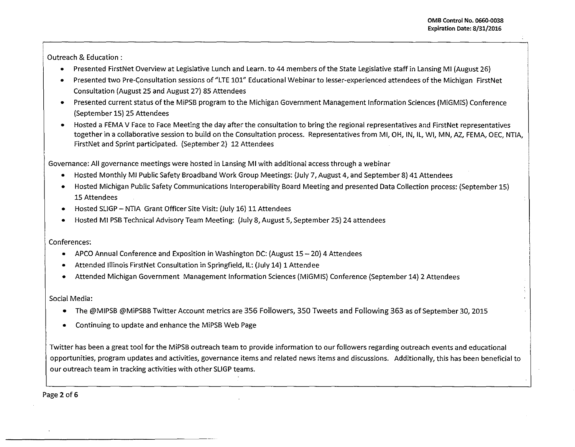Outreach & Education :

- Presented FirstNet Overview at Legislative Lunch and Learn. to 44 members of the State Legislative staff in lansing Ml (August 26)
- Presented two Pre-Consultation sessions of "LTE 101" Educational Webinar to lesser-experienced attendees of the Michigan FirstNet Consultation (August 25 and August 27) 85 Attendees
- Presented current status of the MiPSB program to the Michigan Government Management Information Sciences (MiGMIS) Conference (September 15) 25 Attendees
- Hosted a FEMA V Face to Face Meeting the day after the consultation to bring the regional representatives and FirstNet representatives together in a collaborative session to build on the Consultation process. Representatives from MI, OH, IN, IL, WI, MN, AZ, FEMA, OEC, NTIA, FirstNet and Sprint participated. (September 2) 12 Attendees

Governance: All governance meetings were hosted in lansing Ml with additional access through a webinar

- Hosted Monthly Ml Public Safety Broadband Work Group Meetings: (July 7, August 4, and September 8) 41 Attendees
- Hosted Michigan Public Safety Communications lnteroperability Board Meeting and presented Data Collection process: (September 15) 15 Attendees
- Hosted SUGP- NTIA Grant Officer Site Visit: (July 16) 11 Attendees
- Hosted Ml PSB Technical Advisory Team Meeting: (July 8, August 5, September 25) 24 attendees

Conferences:

- APCO Annual Conference and Exposition in Washington DC: (August 15 20) 4 Attendees
- Attended illinois FirstNet Consultation in Springfield, ll: (July 14) 1 Attendee
- Attended Michigan Government Management Information Sciences (MiGMIS) Conference (September 14) 2 Attendees

Social Media:

- The @MIPSB @MiPSBB Twitter Account metrics are 356 Followers, 350 Tweets and Following 363 as of September 30, 2015
- Continuing to update and enhance the MiPSB Web Page

Twitter has been a great tool for the MiPSB outreach team to provide information to our followers regarding outreach events and educational opportunities, program updates and activities, governance items and related news items and discussions. Additionally, this has been beneficial to our outreach team in tracking activities with other SLIGP teams.

Page 2 of 6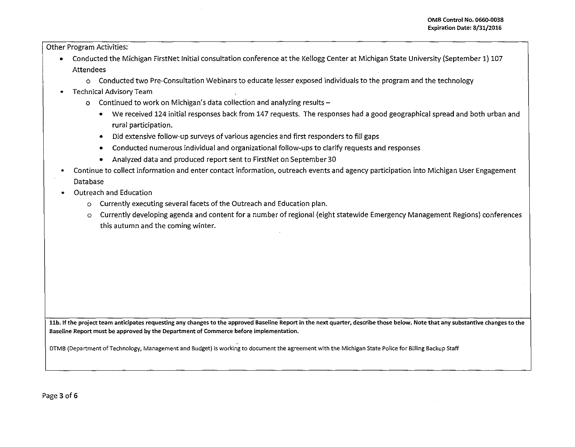Other Program Activities:

- Conducted the Michigan FirstNet Initial consultation conference at the Kellogg Center at Michigan State University (September 1) 107 Attendees
	- o Conducted two Pre-Consultation Webinars to educate lesser exposed individuals to the program and the technology
- Technical Advisory Team
	- o Continued to work on Michigan's data collection and analyzing results-
		- We received 124 initial responses back from 147 requests. The responses had a good geographical spread and both urban and rural participation.
		- Did extensive follow-up surveys of various agencies and first responders to fill gaps
		- Conducted numerous individual and organizational follow-ups to clarify requests and responses
		- Analyzed data and produced report sent to FirstNet on September 30
- Continue to collect information and enter contact information, outreach events and agency participation into Michigan User Engagement Database
- Outreach and Education
	- o Currently executing several facets of the Outreach and Education plan.
	- o Currently developing agenda and content for a number of regional (eight statewide Emergency Management Regions) conferences this autumn and the coming winter.

**llb. If the project team anticipates requesting any changes to the approved Baseline Report in the next quarter, describe those below. Note that any substantive changes to the Baseline Report must be approved by the Department of Commerce before implementation.** 

**DTMB (Department of Technology, Management and Budget) is working to document the agreement with the Michigan State Police for Billing Backup Staff**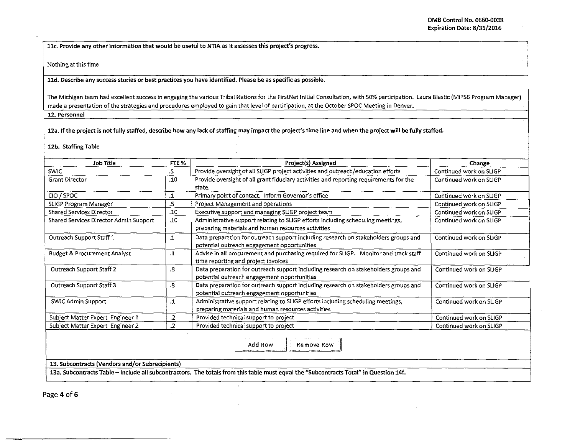llc. Provide any other information that would be useful to NTIA as it assesses this project's progress.

Nothing at this time

lld. Describe any success stories or best practices you have identified. Please be as specific as possible.

The Michigan team had excellent success in engaging the various Tribal Nations for the FirstNet Initial Consultation, with SO% participation. Laura Blastic (MiPSB Program Manager) made a presentation of the strategies and procedures employed to gain that level of participation, at the October SPOC Meeting in Denver.

12. Personnel

12a. If the project is not fully staffed, describe how any lack of staffing may impact the project's time line and when the project will be fully staffed.

12b. Staffing Table

| <b>Job Title</b>                                                                                                                      | FTE %             | Project(s) Assigned                                                                                                                   | Change                  |  |  |  |  |
|---------------------------------------------------------------------------------------------------------------------------------------|-------------------|---------------------------------------------------------------------------------------------------------------------------------------|-------------------------|--|--|--|--|
| <b>SWIC</b>                                                                                                                           | .5                | Provide oversight of all SLIGP project activities and outreach/education efforts                                                      | Continued work on SLIGP |  |  |  |  |
| <b>Grant Director</b>                                                                                                                 | .10               | Provide oversight of all grant fiduciary activities and reporting requirements for the<br>state.                                      | Continued work on SLIGP |  |  |  |  |
| CIO / SPOC                                                                                                                            | .1                | Primary point of contact. Inform Governor's office                                                                                    | Continued work on SLIGP |  |  |  |  |
| SLIGP Program Manager                                                                                                                 | .5                | Project Management and operations                                                                                                     | Continued work on SLIGP |  |  |  |  |
| Shared Services Director                                                                                                              | .10               | Executive support and managing SLIGP project team                                                                                     | Continued work on SLIGP |  |  |  |  |
| Shared Services Director Admin Support                                                                                                | .10               | Administrative support relating to SLIGP efforts including scheduling meetings,<br>preparing materials and human resources activities | Continued work on SLIGP |  |  |  |  |
| Outreach Support Staff 1                                                                                                              | $\cdot$           | Data preparation for outreach support including research on stakeholders groups and<br>potential outreach engagement opportunities    | Continued work on SLIGP |  |  |  |  |
| <b>Budget &amp; Procurement Analyst</b>                                                                                               | $\cdot$           | Advise in all procurement and purchasing required for SLIGP. Monitor and track staff<br>time reporting and project invoices           | Continued work on SLIGP |  |  |  |  |
| Outreach Support Staff 2                                                                                                              | .8                | Data preparation for outreach support including research on stakeholders groups and<br>potential outreach engagement opportunities    | Continued work on SLIGP |  |  |  |  |
| Outreach Support Staff 3                                                                                                              | $\boldsymbol{.8}$ | Data preparation for outreach support including research on stakeholders groups and<br>potential outreach engagement opportunities    | Continued work on SLIGP |  |  |  |  |
| <b>SWIC Admin Support</b>                                                                                                             | $\cdot$           | Administrative support relating to SLIGP efforts including scheduling meetings,<br>preparing materials and human resources activities | Continued work on SLIGP |  |  |  |  |
| Subject Matter Expert Engineer 1                                                                                                      | .2                | Provided technical support to project                                                                                                 | Continued work on SLIGP |  |  |  |  |
| Subject Matter Expert Engineer 2                                                                                                      | $\overline{2}$    | Provided technical support to project                                                                                                 | Continued work on SLIGP |  |  |  |  |
| Add Row<br>Remove Row                                                                                                                 |                   |                                                                                                                                       |                         |  |  |  |  |
| 13. Subcontracts (Vendors and/or Subrecipients)                                                                                       |                   |                                                                                                                                       |                         |  |  |  |  |
| 13a. Subcontracts Table - include all subcontractors. The totals from this table must equal the "Subcontracts Total" in Question 14f. |                   |                                                                                                                                       |                         |  |  |  |  |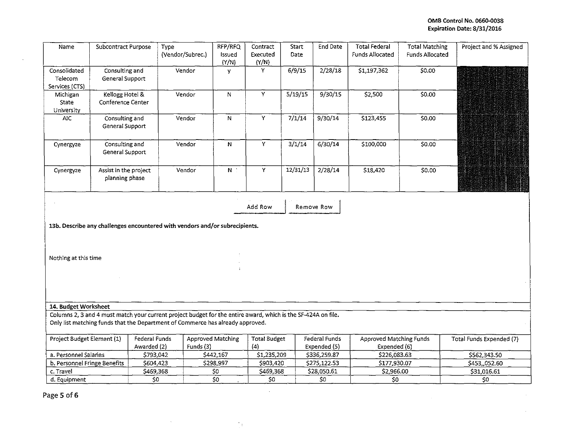## OMB Control No. 0660-0038 Expiration Date: 8/31/2016

à,

| Name                                                                        | <b>Subcontract Purpose</b>              |                              | Type<br>(Vendor/Subrec.)                                                                                                                                                                        | RFP/RFQ<br>Issued<br>(Y/N) | Contract<br>Executed<br>(Y/N) | <b>Start</b><br>Date | <b>End Date</b>                      | <b>Total Federal</b><br><b>Funds Allocated</b> | <b>Total Matching</b><br><b>Funds Allocated</b> | Project and % Assigned   |
|-----------------------------------------------------------------------------|-----------------------------------------|------------------------------|-------------------------------------------------------------------------------------------------------------------------------------------------------------------------------------------------|----------------------------|-------------------------------|----------------------|--------------------------------------|------------------------------------------------|-------------------------------------------------|--------------------------|
| Consolidated<br>Telecom<br>Services (CTS)                                   | Consulting and<br>General Support       |                              | Vendor                                                                                                                                                                                          | У                          | Y                             | 6/9/15               | 2/28/18                              | \$1,197,362                                    | \$0.00                                          |                          |
| Michigan<br>State<br>University                                             | Kellogg Hotel &<br>Conference Center    |                              | Vendor                                                                                                                                                                                          | ${\sf N}$                  | Y                             | 5/19/15              | 9/30/15                              | \$2,500                                        | 50.00                                           |                          |
| AIC                                                                         | Consulting and<br>General Support       |                              | Vendor                                                                                                                                                                                          | ${\bf N}$                  | Y                             | 7/1/14               | 9/30/14                              | \$123,455                                      | \$0.00                                          |                          |
| Cynergyze                                                                   | Consulting and<br>General Support       |                              | Vendor                                                                                                                                                                                          | N                          | Υ                             | 3/1/14               | 6/30/14                              | \$100,000                                      | \$0.00                                          |                          |
| Cynergyze                                                                   | Assist in the project<br>planning phase |                              | Vendor                                                                                                                                                                                          | $\mathbf{N}^{-1}$          | $\overline{\mathsf{Y}}$       | 12/31/13             | 2/28/14                              | \$18,420                                       | \$0.00                                          |                          |
| Add Row<br>Remove Row                                                       |                                         |                              |                                                                                                                                                                                                 |                            |                               |                      |                                      |                                                |                                                 |                          |
| 13b. Describe any challenges encountered with vendors and/or subrecipients. |                                         |                              |                                                                                                                                                                                                 |                            |                               |                      |                                      |                                                |                                                 |                          |
| Nothing at this time                                                        |                                         |                              |                                                                                                                                                                                                 |                            |                               |                      |                                      |                                                |                                                 |                          |
|                                                                             |                                         |                              |                                                                                                                                                                                                 |                            |                               |                      |                                      |                                                |                                                 |                          |
| 14. Budget Worksheet                                                        |                                         |                              |                                                                                                                                                                                                 |                            |                               |                      |                                      |                                                |                                                 |                          |
|                                                                             |                                         |                              | Columns 2, 3 and 4 must match your current project budget for the entire award, which is the SF-424A on file.<br>Only list matching funds that the Department of Commerce has already approved. |                            |                               |                      |                                      |                                                |                                                 |                          |
| Project Budget Element (1)                                                  |                                         | Federal Funds<br>Awarded (2) | Funds (3)                                                                                                                                                                                       | Approved Matching          | <b>Total Budget</b><br>(4)    |                      | <b>Federal Funds</b><br>Expended (5) | <b>Approved Matching Funds</b><br>Expended (6) |                                                 | Total Funds Expended (7) |
| a. Personnel Salaries                                                       |                                         | \$793,042                    |                                                                                                                                                                                                 | \$442,167                  | \$1,235,209                   |                      | \$336,259.87                         | \$226,083.63                                   |                                                 | \$562,343.50             |
| b. Personnel Fringe Benefits                                                |                                         | \$604,423                    |                                                                                                                                                                                                 | \$298,997                  | \$903,420                     |                      | \$275,122.53                         | \$177,930.07                                   |                                                 | \$453,,052.60            |
| c. Travel                                                                   |                                         | \$469,368                    |                                                                                                                                                                                                 | \$0                        | \$469,368                     |                      | \$28,050.61                          | \$2,966.00                                     |                                                 | \$31,016.61              |
| d. Equipment                                                                |                                         | \$0                          |                                                                                                                                                                                                 | \$0                        | \$0                           |                      | \$0                                  | \$0                                            |                                                 | \$0                      |
| - -                                                                         |                                         |                              |                                                                                                                                                                                                 |                            |                               |                      |                                      |                                                |                                                 |                          |

 $\frac{1}{2} \frac{1}{2} \frac{1}{2}$ 

 $\sim 80$ 

Page 5 of 6